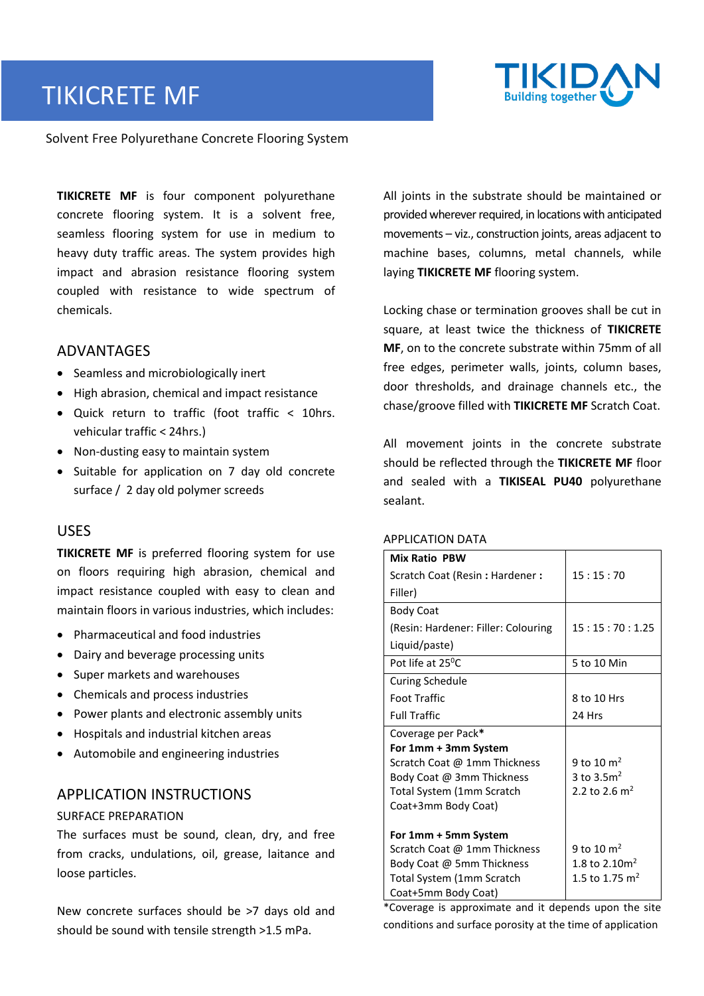# TIKICRETE MF



#### Solvent Free Polyurethane Concrete Flooring System

**TIKICRETE MF** is four component polyurethane concrete flooring system. It is a solvent free, seamless flooring system for use in medium to heavy duty traffic areas. The system provides high impact and abrasion resistance flooring system coupled with resistance to wide spectrum of chemicals.

### ADVANTAGES

- Seamless and microbiologically inert
- High abrasion, chemical and impact resistance
- Quick return to traffic (foot traffic < 10hrs. vehicular traffic < 24hrs.)
- Non-dusting easy to maintain system
- Suitable for application on 7 day old concrete surface / 2 day old polymer screeds

### USES

**TIKICRETE MF** is preferred flooring system for use on floors requiring high abrasion, chemical and impact resistance coupled with easy to clean and maintain floors in various industries, which includes:

- Pharmaceutical and food industries
- Dairy and beverage processing units
- Super markets and warehouses
- Chemicals and process industries
- Power plants and electronic assembly units
- Hospitals and industrial kitchen areas
- Automobile and engineering industries

### APPLICATION INSTRUCTIONS

#### SURFACE PREPARATION

The surfaces must be sound, clean, dry, and free from cracks, undulations, oil, grease, laitance and loose particles.

New concrete surfaces should be >7 days old and should be sound with tensile strength >1.5 mPa.

All joints in the substrate should be maintained or provided wherever required, in locations with anticipated movements – viz., construction joints, areas adjacent to machine bases, columns, metal channels, while laying **TIKICRETE MF** flooring system.

Locking chase or termination grooves shall be cut in square, at least twice the thickness of **TIKICRETE MF**, on to the concrete substrate within 75mm of all free edges, perimeter walls, joints, column bases, door thresholds, and drainage channels etc., the chase/groove filled with **TIKICRETE MF** Scratch Coat.

All movement joints in the concrete substrate should be reflected through the **TIKICRETE MF** floor and sealed with a **TIKISEAL PU40** polyurethane sealant.

| <b>Mix Ratio PBW</b>                |                           |
|-------------------------------------|---------------------------|
| Scratch Coat (Resin: Hardener:      | 15:15:70                  |
| Filler)                             |                           |
| <b>Body Coat</b>                    |                           |
| (Resin: Hardener: Filler: Colouring | 15:15:70:1.25             |
| Liquid/paste)                       |                           |
| Pot life at 25 <sup>°</sup> C       | 5 to 10 Min               |
| <b>Curing Schedule</b>              |                           |
| <b>Foot Traffic</b>                 | 8 to 10 Hrs               |
| <b>Full Traffic</b>                 | 24 Hrs                    |
| Coverage per Pack*                  |                           |
|                                     |                           |
| For 1mm + 3mm System                |                           |
| Scratch Coat @ 1mm Thickness        | 9 to 10 $\mathrm{m}^2$    |
| Body Coat @ 3mm Thickness           | 3 to $3.5m2$              |
| Total System (1mm Scratch           | 2.2 to 2.6 m <sup>2</sup> |
| Coat+3mm Body Coat)                 |                           |
| For 1mm + 5mm System                |                           |
| Scratch Coat @ 1mm Thickness        | 9 to 10 $\mathrm{m}^2$    |
| Body Coat @ 5mm Thickness           | 1.8 to 2.10 $m2$          |
| Total System (1mm Scratch           | 1.5 to 1.75 $m2$          |

## APPLICATION DATA

\*Coverage is approximate and it depends upon the site conditions and surface porosity at the time of application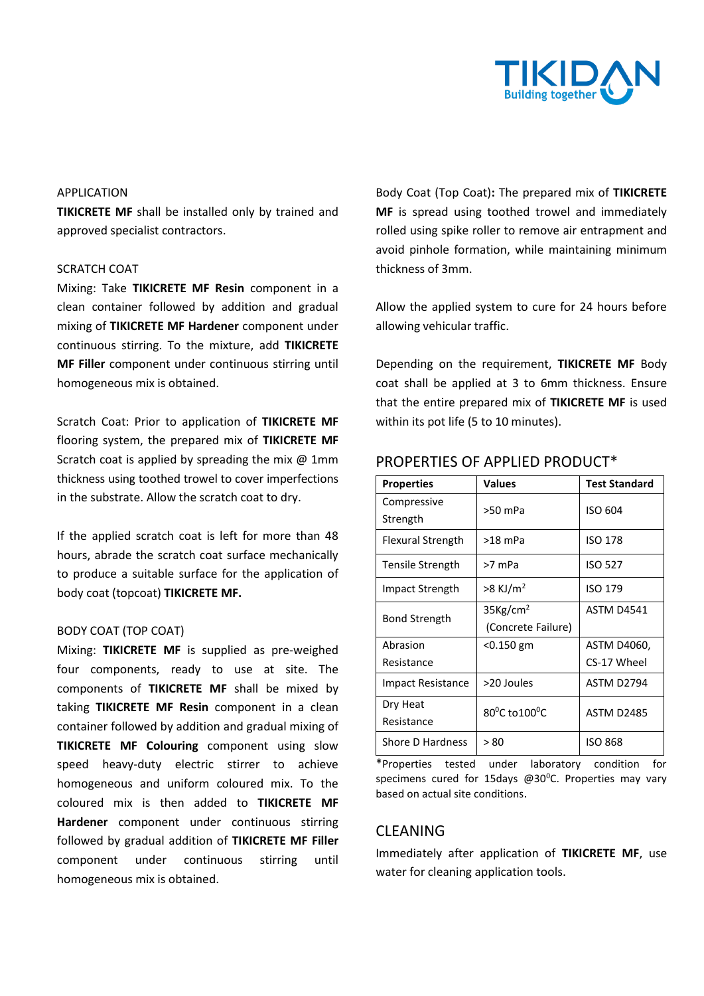

#### APPLICATION

**TIKICRETE MF** shall be installed only by trained and approved specialist contractors.

#### SCRATCH COAT

Mixing: Take **TIKICRETE MF Resin** component in a clean container followed by addition and gradual mixing of **TIKICRETE MF Hardener** component under continuous stirring. To the mixture, add **TIKICRETE MF Filler** component under continuous stirring until homogeneous mix is obtained.

Scratch Coat: Prior to application of **TIKICRETE MF** flooring system, the prepared mix of **TIKICRETE MF** Scratch coat is applied by spreading the mix  $@$  1mm thickness using toothed trowel to cover imperfections in the substrate. Allow the scratch coat to dry.

If the applied scratch coat is left for more than 48 hours, abrade the scratch coat surface mechanically to produce a suitable surface for the application of body coat (topcoat) **TIKICRETE MF.**

#### BODY COAT (TOP COAT)

Mixing: **TIKICRETE MF** is supplied as pre-weighed four components, ready to use at site. The components of **TIKICRETE MF** shall be mixed by taking **TIKICRETE MF Resin** component in a clean container followed by addition and gradual mixing of **TIKICRETE MF Colouring** component using slow speed heavy-duty electric stirrer to achieve homogeneous and uniform coloured mix. To the coloured mix is then added to **TIKICRETE MF Hardener** component under continuous stirring followed by gradual addition of **TIKICRETE MF Filler** component under continuous stirring until homogeneous mix is obtained.

Body Coat (Top Coat)**:** The prepared mix of **TIKICRETE MF** is spread using toothed trowel and immediately rolled using spike roller to remove air entrapment and avoid pinhole formation, while maintaining minimum thickness of 3mm.

Allow the applied system to cure for 24 hours before allowing vehicular traffic.

Depending on the requirement, **TIKICRETE MF** Body coat shall be applied at 3 to 6mm thickness. Ensure that the entire prepared mix of **TIKICRETE MF** is used within its pot life (5 to 10 minutes).

| <b>Properties</b>        | <b>Values</b>                              | <b>Test Standard</b>       |
|--------------------------|--------------------------------------------|----------------------------|
| Compressive<br>Strength  | >50 mPa                                    | ISO 604                    |
| Flexural Strength        | $>18$ mPa                                  | <b>ISO 178</b>             |
| Tensile Strength         | >7 mPa                                     | <b>ISO 527</b>             |
| Impact Strength          | $>8$ KJ/m <sup>2</sup>                     | <b>ISO 179</b>             |
| <b>Bond Strength</b>     | 35Kg/cm <sup>2</sup><br>(Concrete Failure) | <b>ASTM D4541</b>          |
| Abrasion<br>Resistance   | <0.150 gm                                  | ASTM D4060,<br>CS-17 Wheel |
| <b>Impact Resistance</b> | >20 Joules                                 | ASTM D2794                 |
| Dry Heat<br>Resistance   | 80 <sup>o</sup> C to 100 <sup>o</sup> C    | <b>ASTM D2485</b>          |
| Shore D Hardness         | > 80                                       | <b>ISO 868</b>             |

## PROPERTIES OF APPLIED PRODUCT\*

\*Properties tested under laboratory condition for specimens cured for 15days @30°C. Properties may vary based on actual site conditions.

## CLEANING

Immediately after application of **TIKICRETE MF**, use water for cleaning application tools.